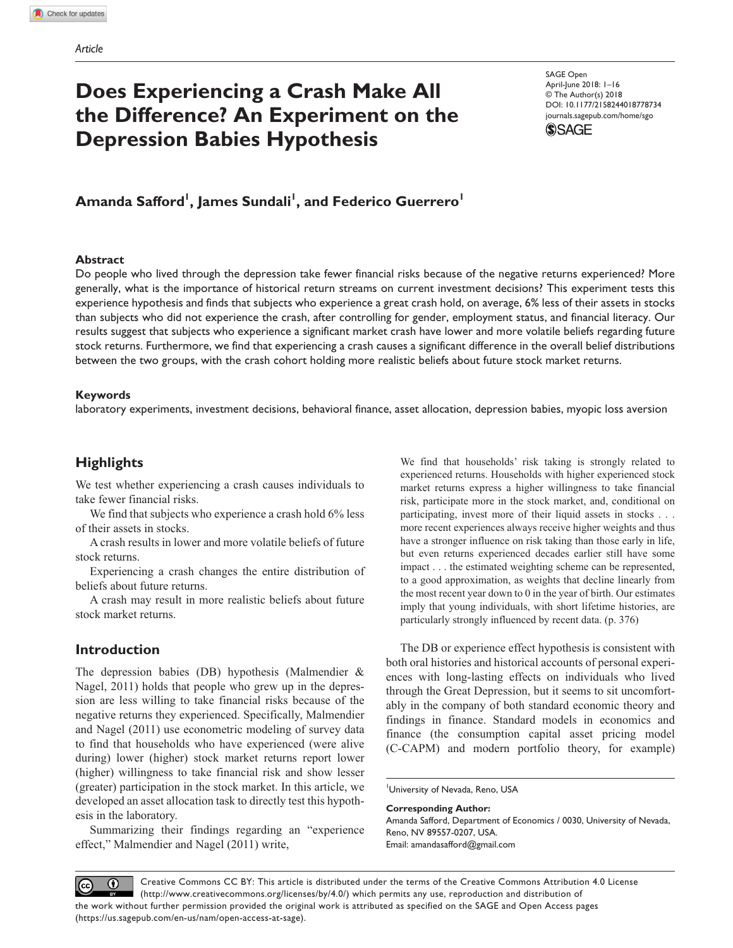# **Does Experiencing a Crash Make All the Difference? An Experiment on the Depression Babies Hypothesis**

https://doi.org/10.1177/2158244018778734 DOI: 10.1177/2158244018778734 SAGE Open April-June 2018: 1–16 © The Author(s) 2018 [journals.sagepub.com/home/sgo](https://journals.sagepub.com/home/sgo)



 $\bm{\mathsf{A}}$ manda  $\bm{\mathsf{S}}$ afford<sup>1</sup>, James Sundali<sup>1</sup>, and Federico Guerrero<sup>1</sup>

### **Abstract**

Do people who lived through the depression take fewer financial risks because of the negative returns experienced? More generally, what is the importance of historical return streams on current investment decisions? This experiment tests this experience hypothesis and finds that subjects who experience a great crash hold, on average, 6% less of their assets in stocks than subjects who did not experience the crash, after controlling for gender, employment status, and financial literacy. Our results suggest that subjects who experience a significant market crash have lower and more volatile beliefs regarding future stock returns. Furthermore, we find that experiencing a crash causes a significant difference in the overall belief distributions between the two groups, with the crash cohort holding more realistic beliefs about future stock market returns.

### **Keywords**

laboratory experiments, investment decisions, behavioral finance, asset allocation, depression babies, myopic loss aversion

# **Highlights**

We test whether experiencing a crash causes individuals to take fewer financial risks.

We find that subjects who experience a crash hold 6% less of their assets in stocks.

A crash results in lower and more volatile beliefs of future stock returns.

Experiencing a crash changes the entire distribution of beliefs about future returns.

A crash may result in more realistic beliefs about future stock market returns.

# **Introduction**

The depression babies (DB) hypothesis (Malmendier & Nagel, 2011) holds that people who grew up in the depression are less willing to take financial risks because of the negative returns they experienced. Specifically, Malmendier and Nagel (2011) use econometric modeling of survey data to find that households who have experienced (were alive during) lower (higher) stock market returns report lower (higher) willingness to take financial risk and show lesser (greater) participation in the stock market. In this article, we developed an asset allocation task to directly test this hypothesis in the laboratory.

Summarizing their findings regarding an "experience effect," Malmendier and Nagel (2011) write,

We find that households' risk taking is strongly related to experienced returns. Households with higher experienced stock market returns express a higher willingness to take financial risk, participate more in the stock market, and, conditional on participating, invest more of their liquid assets in stocks . . . more recent experiences always receive higher weights and thus have a stronger influence on risk taking than those early in life, but even returns experienced decades earlier still have some impact . . . the estimated weighting scheme can be represented, to a good approximation, as weights that decline linearly from the most recent year down to 0 in the year of birth. Our estimates imply that young individuals, with short lifetime histories, are particularly strongly influenced by recent data. (p. 376)

The DB or experience effect hypothesis is consistent with both oral histories and historical accounts of personal experiences with long-lasting effects on individuals who lived through the Great Depression, but it seems to sit uncomfortably in the company of both standard economic theory and findings in finance. Standard models in economics and finance (the consumption capital asset pricing model (C-CAPM) and modern portfolio theory, for example)

University of Nevada, Reno, USA

**Corresponding Author:** Amanda Safford, Department of Economics / 0030, University of Nevada, Reno, NV 89557-0207, USA. Email: amandasafford@gmail.com

Creative Commons CC BY: This article is distributed under the terms of the Creative Commons Attribution 4.0 License  $\odot$  $(c)$ (http://www.creativecommons.org/licenses/by/4.0/) which permits any use, reproduction and distribution of the work without further permission provided the original work is attributed as specified on the SAGE and Open Access pages (https://us.sagepub.com/en-us/nam/open-access-at-sage).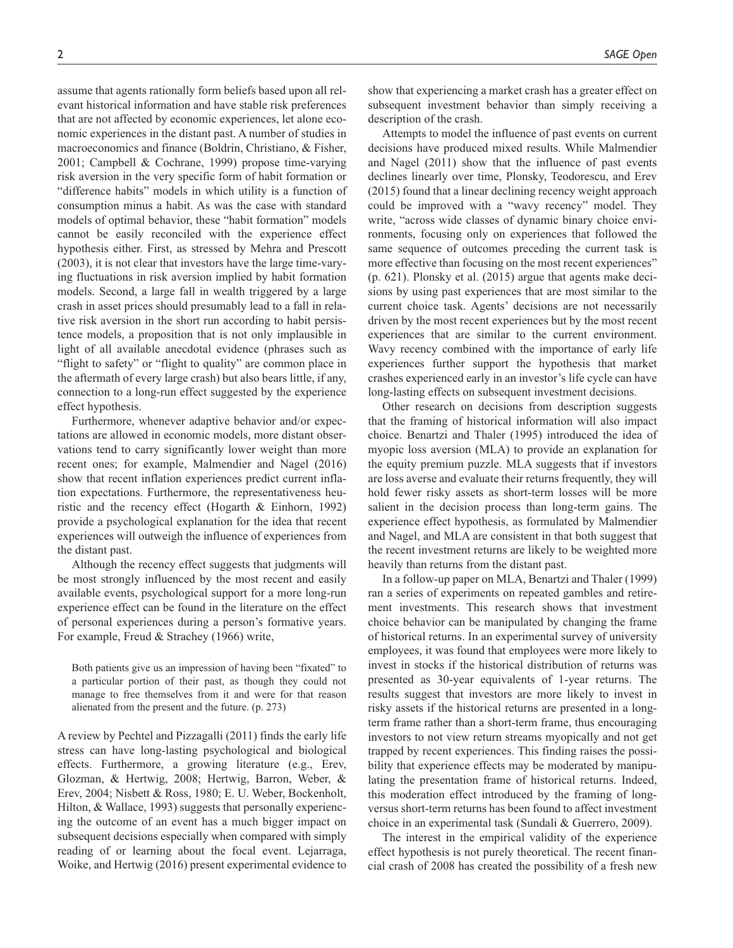assume that agents rationally form beliefs based upon all relevant historical information and have stable risk preferences that are not affected by economic experiences, let alone economic experiences in the distant past. A number of studies in macroeconomics and finance (Boldrin, Christiano, & Fisher, 2001; Campbell & Cochrane, 1999) propose time-varying risk aversion in the very specific form of habit formation or "difference habits" models in which utility is a function of consumption minus a habit. As was the case with standard models of optimal behavior, these "habit formation" models cannot be easily reconciled with the experience effect hypothesis either. First, as stressed by Mehra and Prescott (2003), it is not clear that investors have the large time-varying fluctuations in risk aversion implied by habit formation models. Second, a large fall in wealth triggered by a large crash in asset prices should presumably lead to a fall in relative risk aversion in the short run according to habit persistence models, a proposition that is not only implausible in light of all available anecdotal evidence (phrases such as "flight to safety" or "flight to quality" are common place in the aftermath of every large crash) but also bears little, if any, connection to a long-run effect suggested by the experience effect hypothesis.

Furthermore, whenever adaptive behavior and/or expectations are allowed in economic models, more distant observations tend to carry significantly lower weight than more recent ones; for example, Malmendier and Nagel (2016) show that recent inflation experiences predict current inflation expectations. Furthermore, the representativeness heuristic and the recency effect (Hogarth & Einhorn, 1992) provide a psychological explanation for the idea that recent experiences will outweigh the influence of experiences from the distant past.

Although the recency effect suggests that judgments will be most strongly influenced by the most recent and easily available events, psychological support for a more long-run experience effect can be found in the literature on the effect of personal experiences during a person's formative years. For example, Freud & Strachey (1966) write,

Both patients give us an impression of having been "fixated" to a particular portion of their past, as though they could not manage to free themselves from it and were for that reason alienated from the present and the future. (p. 273)

A review by Pechtel and Pizzagalli (2011) finds the early life stress can have long-lasting psychological and biological effects. Furthermore, a growing literature (e.g., Erev, Glozman, & Hertwig, 2008; Hertwig, Barron, Weber, & Erev, 2004; Nisbett & Ross, 1980; E. U. Weber, Bockenholt, Hilton, & Wallace, 1993) suggests that personally experiencing the outcome of an event has a much bigger impact on subsequent decisions especially when compared with simply reading of or learning about the focal event. Lejarraga, Woike, and Hertwig (2016) present experimental evidence to show that experiencing a market crash has a greater effect on subsequent investment behavior than simply receiving a description of the crash.

Attempts to model the influence of past events on current decisions have produced mixed results. While Malmendier and Nagel (2011) show that the influence of past events declines linearly over time, Plonsky, Teodorescu, and Erev (2015) found that a linear declining recency weight approach could be improved with a "wavy recency" model. They write, "across wide classes of dynamic binary choice environments, focusing only on experiences that followed the same sequence of outcomes preceding the current task is more effective than focusing on the most recent experiences" (p. 621). Plonsky et al. (2015) argue that agents make decisions by using past experiences that are most similar to the current choice task. Agents' decisions are not necessarily driven by the most recent experiences but by the most recent experiences that are similar to the current environment. Wavy recency combined with the importance of early life experiences further support the hypothesis that market crashes experienced early in an investor's life cycle can have long-lasting effects on subsequent investment decisions.

Other research on decisions from description suggests that the framing of historical information will also impact choice. Benartzi and Thaler (1995) introduced the idea of myopic loss aversion (MLA) to provide an explanation for the equity premium puzzle. MLA suggests that if investors are loss averse and evaluate their returns frequently, they will hold fewer risky assets as short-term losses will be more salient in the decision process than long-term gains. The experience effect hypothesis, as formulated by Malmendier and Nagel, and MLA are consistent in that both suggest that the recent investment returns are likely to be weighted more heavily than returns from the distant past.

In a follow-up paper on MLA, Benartzi and Thaler (1999) ran a series of experiments on repeated gambles and retirement investments. This research shows that investment choice behavior can be manipulated by changing the frame of historical returns. In an experimental survey of university employees, it was found that employees were more likely to invest in stocks if the historical distribution of returns was presented as 30-year equivalents of 1-year returns. The results suggest that investors are more likely to invest in risky assets if the historical returns are presented in a longterm frame rather than a short-term frame, thus encouraging investors to not view return streams myopically and not get trapped by recent experiences. This finding raises the possibility that experience effects may be moderated by manipulating the presentation frame of historical returns. Indeed, this moderation effect introduced by the framing of longversus short-term returns has been found to affect investment choice in an experimental task (Sundali & Guerrero, 2009).

The interest in the empirical validity of the experience effect hypothesis is not purely theoretical. The recent financial crash of 2008 has created the possibility of a fresh new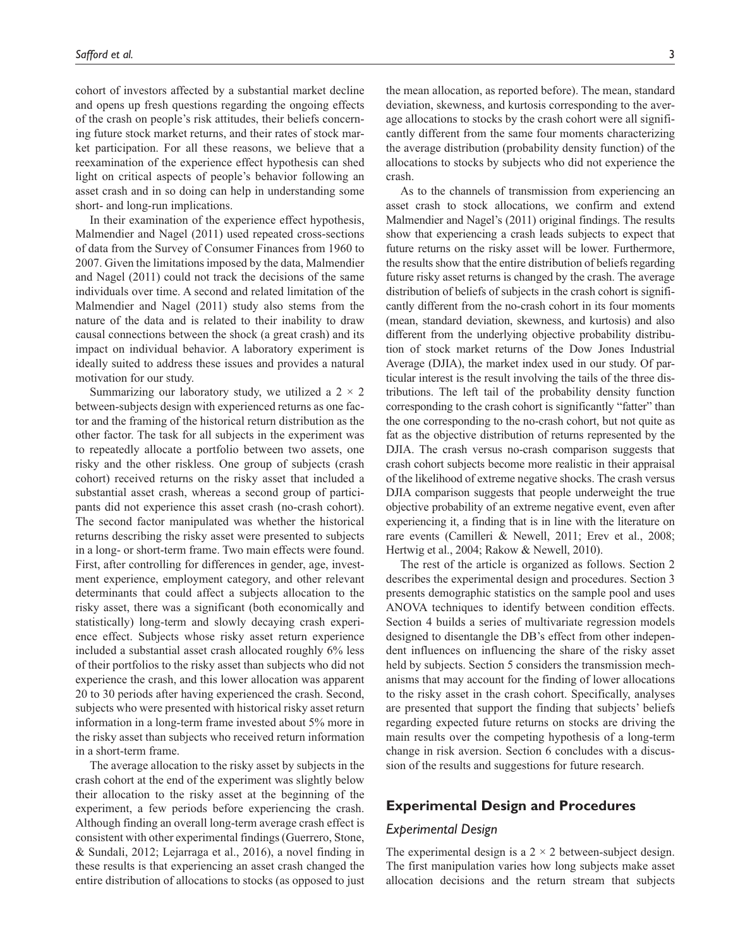cohort of investors affected by a substantial market decline and opens up fresh questions regarding the ongoing effects of the crash on people's risk attitudes, their beliefs concerning future stock market returns, and their rates of stock market participation. For all these reasons, we believe that a reexamination of the experience effect hypothesis can shed light on critical aspects of people's behavior following an asset crash and in so doing can help in understanding some short- and long-run implications.

In their examination of the experience effect hypothesis, Malmendier and Nagel (2011) used repeated cross-sections of data from the Survey of Consumer Finances from 1960 to 2007. Given the limitations imposed by the data, Malmendier and Nagel (2011) could not track the decisions of the same individuals over time. A second and related limitation of the Malmendier and Nagel (2011) study also stems from the nature of the data and is related to their inability to draw causal connections between the shock (a great crash) and its impact on individual behavior. A laboratory experiment is ideally suited to address these issues and provides a natural motivation for our study.

Summarizing our laboratory study, we utilized a  $2 \times 2$ between-subjects design with experienced returns as one factor and the framing of the historical return distribution as the other factor. The task for all subjects in the experiment was to repeatedly allocate a portfolio between two assets, one risky and the other riskless. One group of subjects (crash cohort) received returns on the risky asset that included a substantial asset crash, whereas a second group of participants did not experience this asset crash (no-crash cohort). The second factor manipulated was whether the historical returns describing the risky asset were presented to subjects in a long- or short-term frame. Two main effects were found. First, after controlling for differences in gender, age, investment experience, employment category, and other relevant determinants that could affect a subjects allocation to the risky asset, there was a significant (both economically and statistically) long-term and slowly decaying crash experience effect. Subjects whose risky asset return experience included a substantial asset crash allocated roughly 6% less of their portfolios to the risky asset than subjects who did not experience the crash, and this lower allocation was apparent 20 to 30 periods after having experienced the crash. Second, subjects who were presented with historical risky asset return information in a long-term frame invested about 5% more in the risky asset than subjects who received return information in a short-term frame.

The average allocation to the risky asset by subjects in the crash cohort at the end of the experiment was slightly below their allocation to the risky asset at the beginning of the experiment, a few periods before experiencing the crash. Although finding an overall long-term average crash effect is consistent with other experimental findings (Guerrero, Stone, & Sundali, 2012; Lejarraga et al., 2016), a novel finding in these results is that experiencing an asset crash changed the entire distribution of allocations to stocks (as opposed to just

the mean allocation, as reported before). The mean, standard deviation, skewness, and kurtosis corresponding to the average allocations to stocks by the crash cohort were all significantly different from the same four moments characterizing the average distribution (probability density function) of the allocations to stocks by subjects who did not experience the crash.

As to the channels of transmission from experiencing an asset crash to stock allocations, we confirm and extend Malmendier and Nagel's (2011) original findings. The results show that experiencing a crash leads subjects to expect that future returns on the risky asset will be lower. Furthermore, the results show that the entire distribution of beliefs regarding future risky asset returns is changed by the crash. The average distribution of beliefs of subjects in the crash cohort is significantly different from the no-crash cohort in its four moments (mean, standard deviation, skewness, and kurtosis) and also different from the underlying objective probability distribution of stock market returns of the Dow Jones Industrial Average (DJIA), the market index used in our study. Of particular interest is the result involving the tails of the three distributions. The left tail of the probability density function corresponding to the crash cohort is significantly "fatter" than the one corresponding to the no-crash cohort, but not quite as fat as the objective distribution of returns represented by the DJIA. The crash versus no-crash comparison suggests that crash cohort subjects become more realistic in their appraisal of the likelihood of extreme negative shocks. The crash versus DJIA comparison suggests that people underweight the true objective probability of an extreme negative event, even after experiencing it, a finding that is in line with the literature on rare events (Camilleri & Newell, 2011; Erev et al., 2008; Hertwig et al., 2004; Rakow & Newell, 2010).

The rest of the article is organized as follows. Section 2 describes the experimental design and procedures. Section 3 presents demographic statistics on the sample pool and uses ANOVA techniques to identify between condition effects. Section 4 builds a series of multivariate regression models designed to disentangle the DB's effect from other independent influences on influencing the share of the risky asset held by subjects. Section 5 considers the transmission mechanisms that may account for the finding of lower allocations to the risky asset in the crash cohort. Specifically, analyses are presented that support the finding that subjects' beliefs regarding expected future returns on stocks are driving the main results over the competing hypothesis of a long-term change in risk aversion. Section 6 concludes with a discussion of the results and suggestions for future research.

# **Experimental Design and Procedures**

### *Experimental Design*

The experimental design is a  $2 \times 2$  between-subject design. The first manipulation varies how long subjects make asset allocation decisions and the return stream that subjects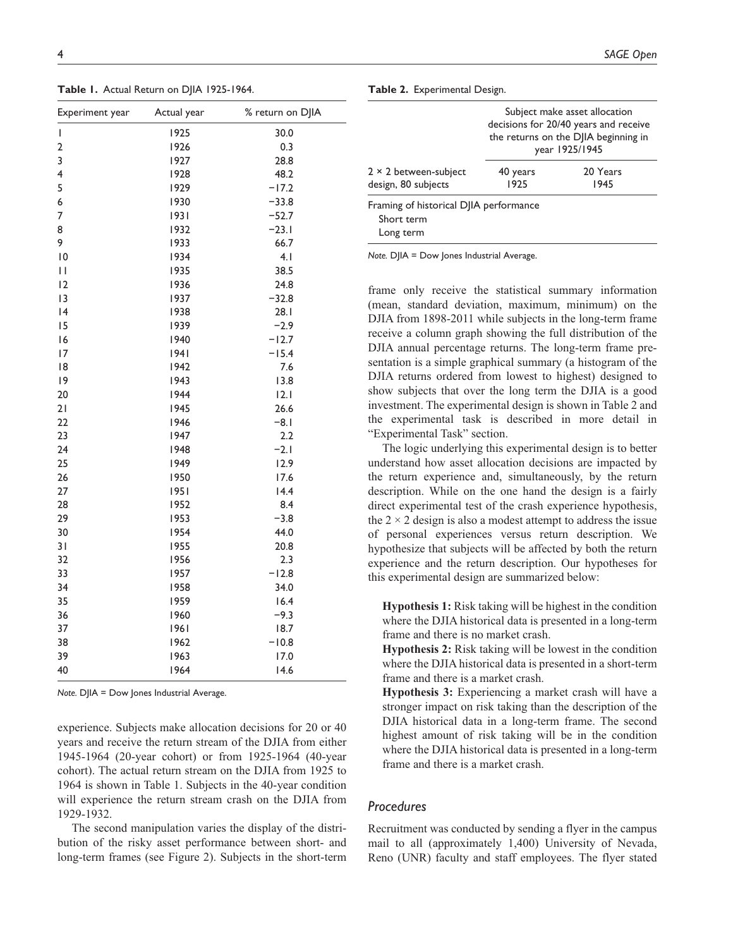**Table 1.** Actual Return on DJIA 1925-1964.

| Experiment year | Actual year | % return on DJIA |
|-----------------|-------------|------------------|
| I               | 1925        | 30.0             |
| $\overline{2}$  | 1926        | 0.3              |
| 3               | 1927        | 28.8             |
| 4               | 1928        | 48.2             |
| 5               | 1929        | $-17.2$          |
| 6               | 1930        | $-33.8$          |
| 7               | 1931        | $-52.7$          |
| 8               | 1932        | $-23.1$          |
| 9               | 1933        | 66.7             |
| $\overline{10}$ | 1934        | 4.1              |
| П               | 1935        | 38.5             |
| 12              | 1936        | 24.8             |
| 3               | 1937        | $-32.8$          |
| 4               | 1938        | 28.1             |
| 15              | 1939        | $-2.9$           |
| $\overline{6}$  | 1940        | $-12.7$          |
| 17              | 1941        | $-15.4$          |
| 18              | 1942        | 7.6              |
| 9               | 1943        | 13.8             |
| 20              | 1944        | 2.1              |
| 21              | 1945        | 26.6             |
| 22              | 1946        | $-8.1$           |
| 23              | 1947        | 2.2              |
| 24              | 1948        | $-2.1$           |
| 25              | 1949        | 12.9             |
| 26              | 1950        | 17.6             |
| 27              | 1951        | 14.4             |
| 28              | 1952        | 8.4              |
| 29              | 1953        | $-3.8$           |
| 30              | 1954        | 44.0             |
| 31              | 1955        | 20.8             |
| 32              | 1956        | 2.3              |
| 33              | 1957        | $-12.8$          |
| 34              | 1958        | 34.0             |
| 35              | 1959        | 16.4             |
| 36              | 1960        | $-9.3$           |
| 37              | 1961        | 18.7             |
| 38              | 1962        | $-10.8$          |
| 39              | 1963        | 17.0             |
| 40              | 1964        | 14.6             |

*Note.* DJIA = Dow Jones Industrial Average.

experience. Subjects make allocation decisions for 20 or 40 years and receive the return stream of the DJIA from either 1945-1964 (20-year cohort) or from 1925-1964 (40-year cohort). The actual return stream on the DJIA from 1925 to 1964 is shown in Table 1. Subjects in the 40-year condition will experience the return stream crash on the DJIA from 1929-1932.

The second manipulation varies the display of the distribution of the risky asset performance between short- and long-term frames (see Figure 2). Subjects in the short-term

**Table 2.** Experimental Design.

| Subject make asset allocation<br>decisions for 20/40 years and receive<br>the returns on the DJIA beginning in<br>year 1925/1945 |          |  |  |
|----------------------------------------------------------------------------------------------------------------------------------|----------|--|--|
| 40 years                                                                                                                         | 20 Years |  |  |
|                                                                                                                                  | 1945     |  |  |
|                                                                                                                                  | 1925     |  |  |

Long term

*Note.* DJIA = Dow Jones Industrial Average.

frame only receive the statistical summary information (mean, standard deviation, maximum, minimum) on the DJIA from 1898-2011 while subjects in the long-term frame receive a column graph showing the full distribution of the DJIA annual percentage returns. The long-term frame presentation is a simple graphical summary (a histogram of the DJIA returns ordered from lowest to highest) designed to show subjects that over the long term the DJIA is a good investment. The experimental design is shown in Table 2 and the experimental task is described in more detail in "Experimental Task" section.

The logic underlying this experimental design is to better understand how asset allocation decisions are impacted by the return experience and, simultaneously, by the return description. While on the one hand the design is a fairly direct experimental test of the crash experience hypothesis, the  $2 \times 2$  design is also a modest attempt to address the issue of personal experiences versus return description. We hypothesize that subjects will be affected by both the return experience and the return description. Our hypotheses for this experimental design are summarized below:

**Hypothesis 1:** Risk taking will be highest in the condition where the DJIA historical data is presented in a long-term frame and there is no market crash.

**Hypothesis 2:** Risk taking will be lowest in the condition where the DJIA historical data is presented in a short-term frame and there is a market crash.

**Hypothesis 3:** Experiencing a market crash will have a stronger impact on risk taking than the description of the DJIA historical data in a long-term frame. The second highest amount of risk taking will be in the condition where the DJIA historical data is presented in a long-term frame and there is a market crash.

### *Procedures*

Recruitment was conducted by sending a flyer in the campus mail to all (approximately 1,400) University of Nevada, Reno (UNR) faculty and staff employees. The flyer stated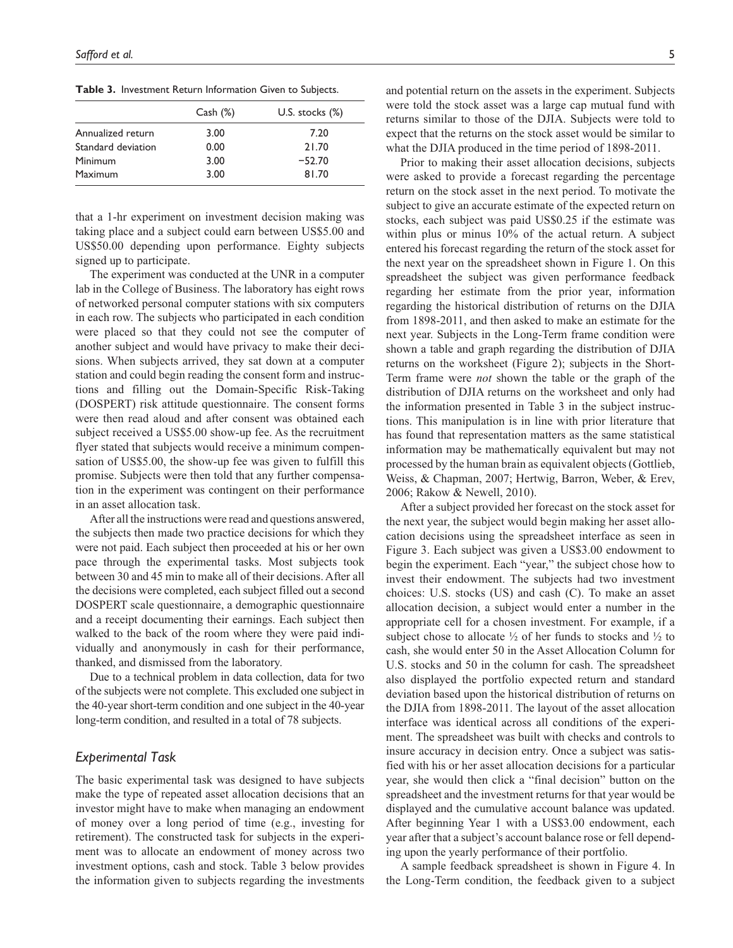**Table 3.** Investment Return Information Given to Subjects.

|                    | Cash (%) | U.S. stocks $(\%)$ |
|--------------------|----------|--------------------|
| Annualized return  | 3.00     | 7.20               |
| Standard deviation | 0.00     | 21.70              |
| <b>Minimum</b>     | 3.00     | $-52.70$           |
| Maximum            | 3.00     | 81.70              |

that a 1-hr experiment on investment decision making was taking place and a subject could earn between US\$5.00 and US\$50.00 depending upon performance. Eighty subjects signed up to participate.

The experiment was conducted at the UNR in a computer lab in the College of Business. The laboratory has eight rows of networked personal computer stations with six computers in each row. The subjects who participated in each condition were placed so that they could not see the computer of another subject and would have privacy to make their decisions. When subjects arrived, they sat down at a computer station and could begin reading the consent form and instructions and filling out the Domain-Specific Risk-Taking (DOSPERT) risk attitude questionnaire. The consent forms were then read aloud and after consent was obtained each subject received a US\$5.00 show-up fee. As the recruitment flyer stated that subjects would receive a minimum compensation of US\$5.00, the show-up fee was given to fulfill this promise. Subjects were then told that any further compensation in the experiment was contingent on their performance in an asset allocation task.

After all the instructions were read and questions answered, the subjects then made two practice decisions for which they were not paid. Each subject then proceeded at his or her own pace through the experimental tasks. Most subjects took between 30 and 45 min to make all of their decisions. After all the decisions were completed, each subject filled out a second DOSPERT scale questionnaire, a demographic questionnaire and a receipt documenting their earnings. Each subject then walked to the back of the room where they were paid individually and anonymously in cash for their performance, thanked, and dismissed from the laboratory.

Due to a technical problem in data collection, data for two of the subjects were not complete. This excluded one subject in the 40-year short-term condition and one subject in the 40-year long-term condition, and resulted in a total of 78 subjects.

### *Experimental Task*

The basic experimental task was designed to have subjects make the type of repeated asset allocation decisions that an investor might have to make when managing an endowment of money over a long period of time (e.g., investing for retirement). The constructed task for subjects in the experiment was to allocate an endowment of money across two investment options, cash and stock. Table 3 below provides the information given to subjects regarding the investments

and potential return on the assets in the experiment. Subjects were told the stock asset was a large cap mutual fund with returns similar to those of the DJIA. Subjects were told to expect that the returns on the stock asset would be similar to what the DJIA produced in the time period of 1898-2011.

Prior to making their asset allocation decisions, subjects were asked to provide a forecast regarding the percentage return on the stock asset in the next period. To motivate the subject to give an accurate estimate of the expected return on stocks, each subject was paid US\$0.25 if the estimate was within plus or minus 10% of the actual return. A subject entered his forecast regarding the return of the stock asset for the next year on the spreadsheet shown in Figure 1. On this spreadsheet the subject was given performance feedback regarding her estimate from the prior year, information regarding the historical distribution of returns on the DJIA from 1898-2011, and then asked to make an estimate for the next year. Subjects in the Long-Term frame condition were shown a table and graph regarding the distribution of DJIA returns on the worksheet (Figure 2); subjects in the Short-Term frame were *not* shown the table or the graph of the distribution of DJIA returns on the worksheet and only had the information presented in Table 3 in the subject instructions. This manipulation is in line with prior literature that has found that representation matters as the same statistical information may be mathematically equivalent but may not processed by the human brain as equivalent objects (Gottlieb, Weiss, & Chapman, 2007; Hertwig, Barron, Weber, & Erev, 2006; Rakow & Newell, 2010).

After a subject provided her forecast on the stock asset for the next year, the subject would begin making her asset allocation decisions using the spreadsheet interface as seen in Figure 3. Each subject was given a US\$3.00 endowment to begin the experiment. Each "year," the subject chose how to invest their endowment. The subjects had two investment choices: U.S. stocks (US) and cash (C). To make an asset allocation decision, a subject would enter a number in the appropriate cell for a chosen investment. For example, if a subject chose to allocate  $\frac{1}{2}$  of her funds to stocks and  $\frac{1}{2}$  to cash, she would enter 50 in the Asset Allocation Column for U.S. stocks and 50 in the column for cash. The spreadsheet also displayed the portfolio expected return and standard deviation based upon the historical distribution of returns on the DJIA from 1898-2011. The layout of the asset allocation interface was identical across all conditions of the experiment. The spreadsheet was built with checks and controls to insure accuracy in decision entry. Once a subject was satisfied with his or her asset allocation decisions for a particular year, she would then click a "final decision" button on the spreadsheet and the investment returns for that year would be displayed and the cumulative account balance was updated. After beginning Year 1 with a US\$3.00 endowment, each year after that a subject's account balance rose or fell depending upon the yearly performance of their portfolio.

A sample feedback spreadsheet is shown in Figure 4. In the Long-Term condition, the feedback given to a subject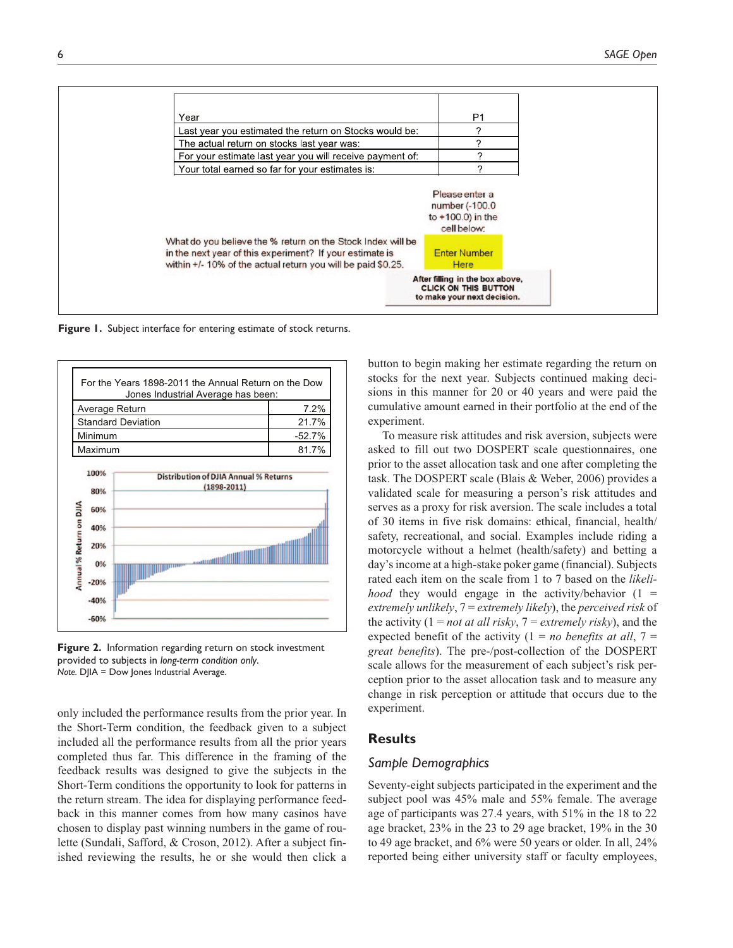

**Figure 1.** Subject interface for entering estimate of stock returns.



**Figure 2.** Information regarding return on stock investment provided to subjects in *long-term condition only*. *Note.* DJIA = Dow Jones Industrial Average.

only included the performance results from the prior year. In the Short-Term condition, the feedback given to a subject included all the performance results from all the prior years completed thus far. This difference in the framing of the feedback results was designed to give the subjects in the Short-Term conditions the opportunity to look for patterns in the return stream. The idea for displaying performance feedback in this manner comes from how many casinos have chosen to display past winning numbers in the game of roulette (Sundali, Safford, & Croson, 2012). After a subject finished reviewing the results, he or she would then click a

button to begin making her estimate regarding the return on stocks for the next year. Subjects continued making decisions in this manner for 20 or 40 years and were paid the cumulative amount earned in their portfolio at the end of the experiment.

To measure risk attitudes and risk aversion, subjects were asked to fill out two DOSPERT scale questionnaires, one prior to the asset allocation task and one after completing the task. The DOSPERT scale (Blais & Weber, 2006) provides a validated scale for measuring a person's risk attitudes and serves as a proxy for risk aversion. The scale includes a total of 30 items in five risk domains: ethical, financial, health/ safety, recreational, and social. Examples include riding a motorcycle without a helmet (health/safety) and betting a day's income at a high-stake poker game (financial). Subjects rated each item on the scale from 1 to 7 based on the *likelihood* they would engage in the activity/behavior  $(1 =$ *extremely unlikely*, 7 = *extremely likely*), the *perceived risk* of the activity (1 = *not at all risky*, 7 = *extremely risky*), and the expected benefit of the activity  $(1 = no \text{ benefits at all}, 7 =$ *great benefits*). The pre-/post-collection of the DOSPERT scale allows for the measurement of each subject's risk perception prior to the asset allocation task and to measure any change in risk perception or attitude that occurs due to the experiment.

# **Results**

# *Sample Demographics*

Seventy-eight subjects participated in the experiment and the subject pool was 45% male and 55% female. The average age of participants was 27.4 years, with 51% in the 18 to 22 age bracket, 23% in the 23 to 29 age bracket, 19% in the 30 to 49 age bracket, and 6% were 50 years or older. In all, 24% reported being either university staff or faculty employees,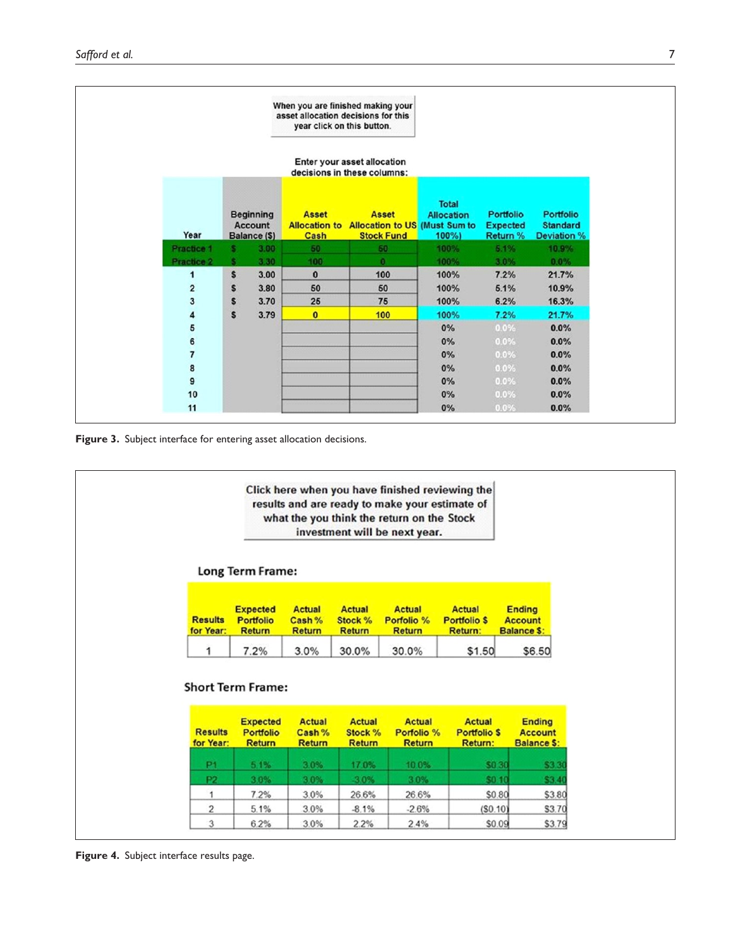|                |              |                                                    | year click on this button.                          | When you are finished making your<br>asset allocation decisions for this  |                                           |                                                        |                                                           |
|----------------|--------------|----------------------------------------------------|-----------------------------------------------------|---------------------------------------------------------------------------|-------------------------------------------|--------------------------------------------------------|-----------------------------------------------------------|
|                |              |                                                    |                                                     | Enter your asset allocation<br>decisions in these columns:                |                                           |                                                        |                                                           |
| Year           |              | <b>Beginning</b><br><b>Account</b><br>Balance (\$) | <b>Asset</b><br><b>Allocation to</b><br><b>Cash</b> | <b>Asset</b><br><b>Allocation to US (Must Sum to</b><br><b>Stock Fund</b> | <b>Total</b><br><b>Allocation</b><br>100% | <b>Portfolio</b><br><b>Expected</b><br><b>Return %</b> | <b>Portfolio</b><br><b>Standard</b><br><b>Deviation %</b> |
| Practice 1     | s            | 3.00                                               | 50                                                  | 50                                                                        | 100%                                      | 5.1%                                                   | 10.9%                                                     |
| Practice 2     | s            | 3.30                                               | 100                                                 | ۰                                                                         | 100%                                      | 3.0%                                                   | $0.0\%$                                                   |
| 1              | \$           | 3.00                                               | $\mathbf{0}$                                        | 100                                                                       | 100%                                      | 7.2%                                                   | 21.7%                                                     |
| $\overline{2}$ | \$           | 3.80                                               | 50                                                  | 50                                                                        | 100%                                      | 5.1%                                                   | 10.9%                                                     |
| 3              | \$           | 3.70                                               | 25                                                  | 75                                                                        | 100%                                      | 6.2%                                                   | 16.3%                                                     |
| 4              | $\mathbf{s}$ | 3.79                                               | $\bf{0}$                                            | 100                                                                       | 100%                                      | 7.2%                                                   | 21.7%                                                     |
| 5              |              |                                                    |                                                     |                                                                           | 0%                                        | $0.0\%$                                                | 0.0%                                                      |
| 6              |              |                                                    |                                                     |                                                                           | 0%                                        | $0.0\%$                                                | 0.0%                                                      |
| $\overline{7}$ |              |                                                    |                                                     |                                                                           | 0%                                        | $0.0\%$                                                | 0.0%                                                      |
| 8              |              |                                                    |                                                     |                                                                           | 0%                                        | $0.0\%$                                                | 0.0%                                                      |
| 9              |              |                                                    |                                                     |                                                                           | 0%                                        | $0.0\%$                                                | 0.0%                                                      |
| 10             |              |                                                    |                                                     |                                                                           | 0%                                        | $0.0\%$                                                | 0.0%                                                      |
| 11             |              |                                                    |                                                     |                                                                           | 0%                                        | $0.0\%$                                                | 0.0%                                                      |

**Figure 3.** Subject interface for entering asset allocation decisions.

```
Click here when you have finished reviewing the
results and are ready to make your estimate of
  what the you think the return on the Stock
        investment will be next year.
```
**Long Term Frame:** 

| <b>Results</b><br>for Year: | <b>Expected</b><br><b>Portfolio</b><br><b>Return</b> | <b>Actual</b><br>Cash %<br><b>Return</b> | Actual<br>Stock %<br><b>Return</b> | <b>Actual</b><br>Porfolio %<br><b>Return</b> | <b>Actual</b><br><b>Portfolio \$</b><br><b>Return:</b> | <b>Ending</b><br><b>Account</b><br><b>Balance S:</b> |
|-----------------------------|------------------------------------------------------|------------------------------------------|------------------------------------|----------------------------------------------|--------------------------------------------------------|------------------------------------------------------|
|                             | 7.2%                                                 | 3.0%                                     | 30.0%                              | 30.0%                                        | \$1.50                                                 | \$6.50                                               |

# **Short Term Frame:**

| <b>Results</b><br>for Year: | <b>Expected</b><br><b>Portfolio</b><br><b>Return</b> | <b>Actual</b><br>Cash %<br><b>Return</b> | <b>Actual</b><br>Stock %<br><b>Return</b> | <b>Actual</b><br>Porfolio %<br><b>Return</b> | <b>Actual</b><br><b>Portfolio \$</b><br>Return: | <b>Ending</b><br><b>Account</b><br><b>Balance S:</b> |
|-----------------------------|------------------------------------------------------|------------------------------------------|-------------------------------------------|----------------------------------------------|-------------------------------------------------|------------------------------------------------------|
| P <sub>1</sub>              | 5.1%                                                 | 3.0%                                     | 17.0%                                     | 10.0%                                        | \$0.30                                          | <b>\$3.30</b>                                        |
| P2                          | 3.0%                                                 | 3.0%                                     | 3.0%                                      | 3.0%                                         | \$0 10                                          | \$3.40                                               |
|                             | 7.2%                                                 | 3.0%                                     | 26.6%                                     | 26.6%                                        | \$0.80                                          | \$3.80                                               |
| 2                           | 5.1%                                                 | 3.0%                                     | $-8.1%$                                   | $-2.6%$                                      | (S0.10)                                         | \$3.70                                               |
| 3                           | 6.2%                                                 | 3.0%                                     | 2.2%                                      | 2.4%                                         | \$0.09                                          | \$3.79                                               |

**Figure 4.** Subject interface results page.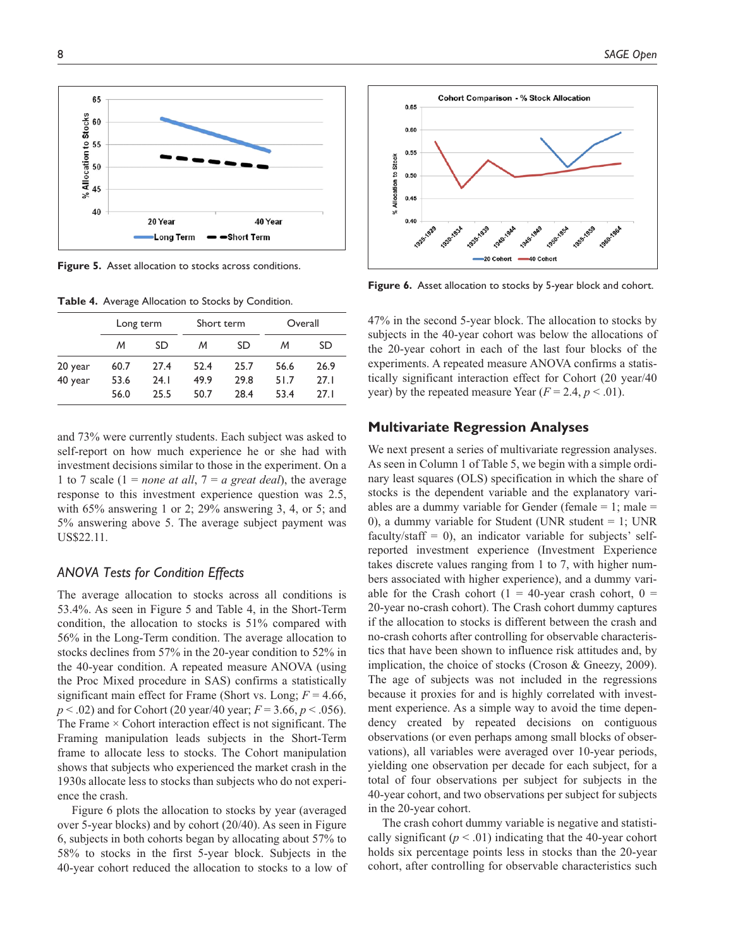65 40 20 Year 40 Year **Long Term** ●Short Term

**Figure 5.** Asset allocation to stocks across conditions.

**Table 4.** Average Allocation to Stocks by Condition.

|         | Long term |      | Short term |      | Overall |      |  |
|---------|-----------|------|------------|------|---------|------|--|
|         | M         | SD.  | м          | SD   | M       | SD   |  |
| 20 year | 60.7      | 27.4 | 52.4       | 25.7 | 56.6    | 26.9 |  |
| 40 year | 53.6      | 24.1 | 49.9       | 29.8 | 51.7    | 27.1 |  |
|         | 56.0      | 25.5 | 50.7       | 28.4 | 53.4    | 27.1 |  |

and 73% were currently students. Each subject was asked to self-report on how much experience he or she had with investment decisions similar to those in the experiment. On a 1 to 7 scale (1 = *none at all*, 7 = *a great deal*), the average response to this investment experience question was 2.5, with 65% answering 1 or 2; 29% answering 3, 4, or 5; and 5% answering above 5. The average subject payment was US\$22.11.

# *ANOVA Tests for Condition Effects*

The average allocation to stocks across all conditions is 53.4%. As seen in Figure 5 and Table 4, in the Short-Term condition, the allocation to stocks is 51% compared with 56% in the Long-Term condition. The average allocation to stocks declines from 57% in the 20-year condition to 52% in the 40-year condition. A repeated measure ANOVA (using the Proc Mixed procedure in SAS) confirms a statistically significant main effect for Frame (Short vs. Long; *F* = 4.66, *p* < .02) and for Cohort (20 year/40 year; *F* = 3.66, *p* < .056). The Frame  $\times$  Cohort interaction effect is not significant. The Framing manipulation leads subjects in the Short-Term frame to allocate less to stocks. The Cohort manipulation shows that subjects who experienced the market crash in the 1930s allocate less to stocks than subjects who do not experience the crash.

Figure 6 plots the allocation to stocks by year (averaged over 5-year blocks) and by cohort (20/40). As seen in Figure 6, subjects in both cohorts began by allocating about 57% to 58% to stocks in the first 5-year block. Subjects in the 40-year cohort reduced the allocation to stocks to a low of



**Figure 6.** Asset allocation to stocks by 5-year block and cohort.

47% in the second 5-year block. The allocation to stocks by subjects in the 40-year cohort was below the allocations of the 20-year cohort in each of the last four blocks of the experiments. A repeated measure ANOVA confirms a statistically significant interaction effect for Cohort (20 year/40 year) by the repeated measure Year  $(F = 2.4, p < .01)$ .

# **Multivariate Regression Analyses**

We next present a series of multivariate regression analyses. As seen in Column 1 of Table 5, we begin with a simple ordinary least squares (OLS) specification in which the share of stocks is the dependent variable and the explanatory variables are a dummy variable for Gender (female  $= 1$ ; male  $=$ 0), a dummy variable for Student (UNR student  $= 1$ ; UNR faculty/staff  $= 0$ ), an indicator variable for subjects' selfreported investment experience (Investment Experience takes discrete values ranging from 1 to 7, with higher numbers associated with higher experience), and a dummy variable for the Crash cohort  $(1 = 40$ -year crash cohort,  $0 =$ 20-year no-crash cohort). The Crash cohort dummy captures if the allocation to stocks is different between the crash and no-crash cohorts after controlling for observable characteristics that have been shown to influence risk attitudes and, by implication, the choice of stocks (Croson & Gneezy, 2009). The age of subjects was not included in the regressions because it proxies for and is highly correlated with investment experience. As a simple way to avoid the time dependency created by repeated decisions on contiguous observations (or even perhaps among small blocks of observations), all variables were averaged over 10-year periods, yielding one observation per decade for each subject, for a total of four observations per subject for subjects in the 40-year cohort, and two observations per subject for subjects in the 20-year cohort.

The crash cohort dummy variable is negative and statistically significant  $(p < .01)$  indicating that the 40-year cohort holds six percentage points less in stocks than the 20-year cohort, after controlling for observable characteristics such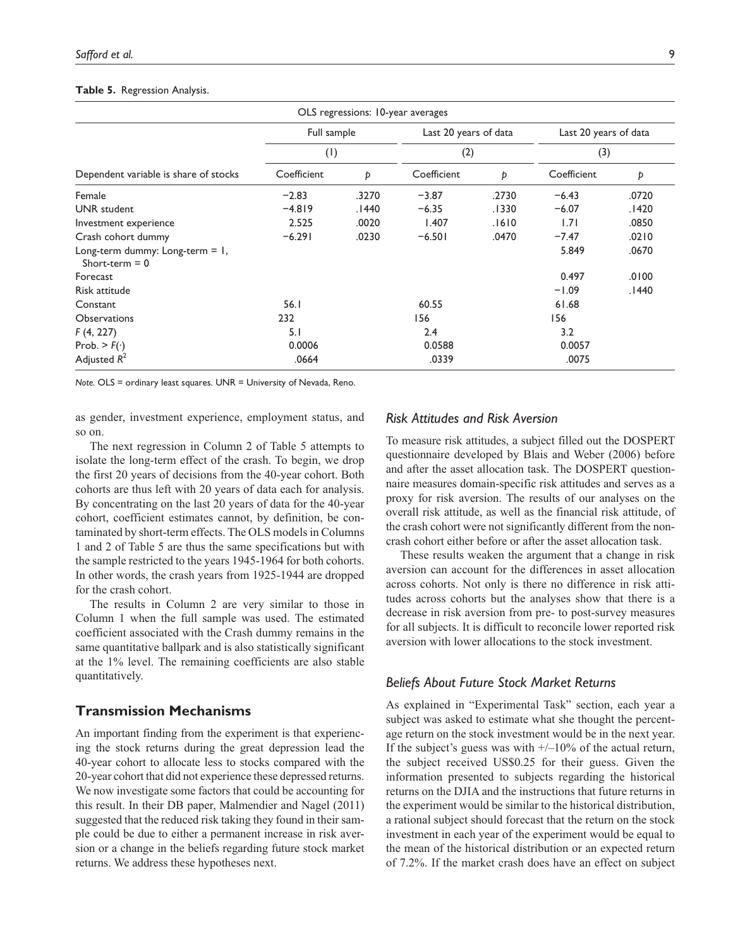#### **Table 5.** Regression Analysis.

| OLS regressions: 10-year averages                      |             |       |                       |       |                       |       |  |  |
|--------------------------------------------------------|-------------|-------|-----------------------|-------|-----------------------|-------|--|--|
|                                                        | Full sample |       | Last 20 years of data |       | Last 20 years of data |       |  |  |
|                                                        | (1)         |       | (2)                   |       | (3)                   |       |  |  |
| Dependent variable is share of stocks                  | Coefficient | Þ     | Coefficient           | Þ     | Coefficient           | Þ     |  |  |
| Female                                                 | $-2.83$     | .3270 | $-3.87$               | .2730 | $-6.43$               | .0720 |  |  |
| UNR student                                            | $-4.819$    | .1440 | $-6.35$               | .1330 | $-6.07$               | .1420 |  |  |
| Investment experience                                  | 2.525       | .0020 | 1.407                 | .1610 | 1.71                  | .0850 |  |  |
| Crash cohort dummy                                     | $-6.291$    | .0230 | $-6.501$              | .0470 | $-7.47$               | .0210 |  |  |
| Long-term dummy: Long-term $= 1$ ,<br>Short-term $= 0$ |             |       |                       |       | 5.849                 | .0670 |  |  |
| Forecast                                               |             |       |                       |       | 0.497                 | .0100 |  |  |
| Risk attitude                                          |             |       |                       |       | $-1.09$               | .1440 |  |  |
| Constant                                               | 56.1        |       | 60.55                 |       | 61.68                 |       |  |  |
| <b>Observations</b>                                    | 232         |       | 156                   |       | 156                   |       |  |  |
| F(4, 227)                                              | 5.1         |       | 2.4                   |       | 3.2                   |       |  |  |
| Prob. $> F(\cdot)$                                     | 0.0006      |       | 0.0588                |       | 0.0057                |       |  |  |
| Adjusted $R^2$                                         | .0664       |       | .0339                 |       | .0075                 |       |  |  |

*Note.* OLS = ordinary least squares. UNR = University of Nevada, Reno.

as gender, investment experience, employment status, and so on.

The next regression in Column 2 of Table 5 attempts to isolate the long-term effect of the crash. To begin, we drop the first 20 years of decisions from the 40-year cohort. Both cohorts are thus left with 20 years of data each for analysis. By concentrating on the last 20 years of data for the 40-year cohort, coefficient estimates cannot, by definition, be contaminated by short-term effects. The OLS models in Columns 1 and 2 of Table 5 are thus the same specifications but with the sample restricted to the years 1945-1964 for both cohorts. In other words, the crash years from 1925-1944 are dropped for the crash cohort.

The results in Column 2 are very similar to those in Column 1 when the full sample was used. The estimated coefficient associated with the Crash dummy remains in the same quantitative ballpark and is also statistically significant at the 1% level. The remaining coefficients are also stable quantitatively.

### **Transmission Mechanisms**

An important finding from the experiment is that experiencing the stock returns during the great depression lead the 40-year cohort to allocate less to stocks compared with the 20-year cohort that did not experience these depressed returns. We now investigate some factors that could be accounting for this result. In their DB paper, Malmendier and Nagel (2011) suggested that the reduced risk taking they found in their sample could be due to either a permanent increase in risk aversion or a change in the beliefs regarding future stock market returns. We address these hypotheses next.

### *Risk Attitudes and Risk Aversion*

To measure risk attitudes, a subject filled out the DOSPERT questionnaire developed by Blais and Weber (2006) before and after the asset allocation task. The DOSPERT questionnaire measures domain-specific risk attitudes and serves as a proxy for risk aversion. The results of our analyses on the overall risk attitude, as well as the financial risk attitude, of the crash cohort were not significantly different from the noncrash cohort either before or after the asset allocation task.

These results weaken the argument that a change in risk aversion can account for the differences in asset allocation across cohorts. Not only is there no difference in risk attitudes across cohorts but the analyses show that there is a decrease in risk aversion from pre- to post-survey measures for all subjects. It is difficult to reconcile lower reported risk aversion with lower allocations to the stock investment.

### *Beliefs About Future Stock Market Returns*

As explained in "Experimental Task" section, each year a subject was asked to estimate what she thought the percentage return on the stock investment would be in the next year. If the subject's guess was with  $+/-10\%$  of the actual return, the subject received US\$0.25 for their guess. Given the information presented to subjects regarding the historical returns on the DJIA and the instructions that future returns in the experiment would be similar to the historical distribution, a rational subject should forecast that the return on the stock investment in each year of the experiment would be equal to the mean of the historical distribution or an expected return of 7.2%. If the market crash does have an effect on subject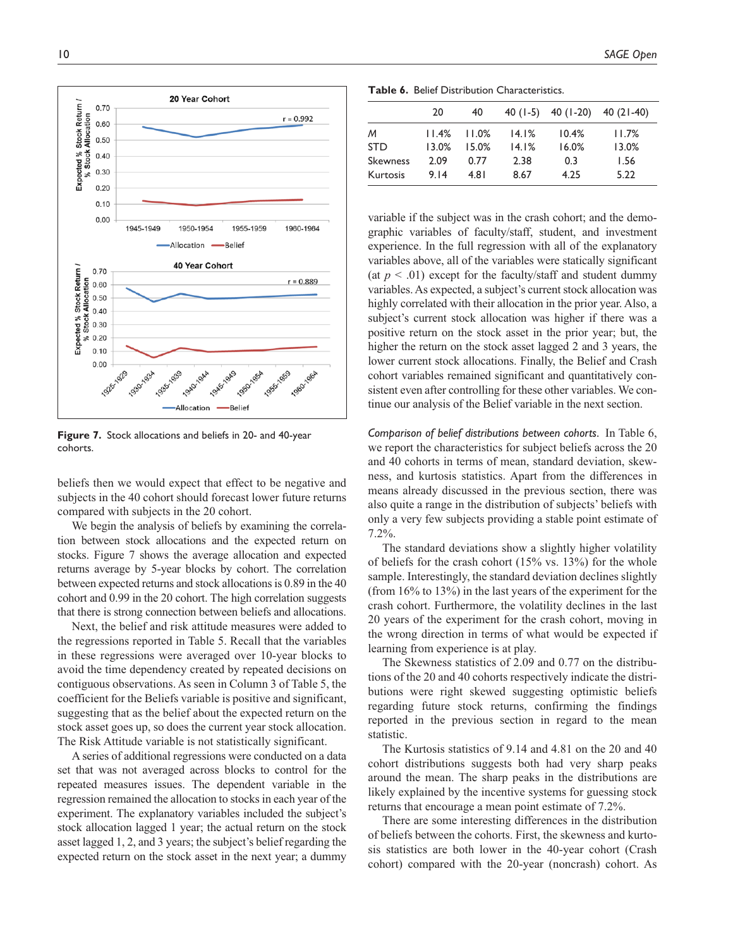

**Figure 7.** Stock allocations and beliefs in 20- and 40-year cohorts.

Allocation

Belief

beliefs then we would expect that effect to be negative and subjects in the 40 cohort should forecast lower future returns compared with subjects in the 20 cohort.

We begin the analysis of beliefs by examining the correlation between stock allocations and the expected return on stocks. Figure 7 shows the average allocation and expected returns average by 5-year blocks by cohort. The correlation between expected returns and stock allocations is 0.89 in the 40 cohort and 0.99 in the 20 cohort. The high correlation suggests that there is strong connection between beliefs and allocations.

Next, the belief and risk attitude measures were added to the regressions reported in Table 5. Recall that the variables in these regressions were averaged over 10-year blocks to avoid the time dependency created by repeated decisions on contiguous observations. As seen in Column 3 of Table 5, the coefficient for the Beliefs variable is positive and significant, suggesting that as the belief about the expected return on the stock asset goes up, so does the current year stock allocation. The Risk Attitude variable is not statistically significant.

A series of additional regressions were conducted on a data set that was not averaged across blocks to control for the repeated measures issues. The dependent variable in the regression remained the allocation to stocks in each year of the experiment. The explanatory variables included the subject's stock allocation lagged 1 year; the actual return on the stock asset lagged 1, 2, and 3 years; the subject's belief regarding the expected return on the stock asset in the next year; a dummy

**Table 6.** Belief Distribution Characteristics.

|                 | 20    | 40    |       | $40$ (1-5) $40$ (1-20) | $40(21-40)$ |
|-----------------|-------|-------|-------|------------------------|-------------|
| M               | 11.4% | 11.0% | 14.1% | 10.4%                  | 11.7%       |
| <b>STD</b>      | 13.0% | 15.0% | 14.1% | 16.0%                  | 13.0%       |
| <b>Skewness</b> | 2.09  | 0.77  | 2.38  | 0.3                    | 1.56        |
| Kurtosis        | 9.14  | 4.81  | 8.67  | 4.25                   | 5.22        |

variable if the subject was in the crash cohort; and the demographic variables of faculty/staff, student, and investment experience. In the full regression with all of the explanatory variables above, all of the variables were statically significant (at  $p < .01$ ) except for the faculty/staff and student dummy variables. As expected, a subject's current stock allocation was highly correlated with their allocation in the prior year. Also, a subject's current stock allocation was higher if there was a positive return on the stock asset in the prior year; but, the higher the return on the stock asset lagged 2 and 3 years, the lower current stock allocations. Finally, the Belief and Crash cohort variables remained significant and quantitatively consistent even after controlling for these other variables. We continue our analysis of the Belief variable in the next section.

*Comparison of belief distributions between cohorts.* In Table 6, we report the characteristics for subject beliefs across the 20 and 40 cohorts in terms of mean, standard deviation, skewness, and kurtosis statistics. Apart from the differences in means already discussed in the previous section, there was also quite a range in the distribution of subjects' beliefs with only a very few subjects providing a stable point estimate of 7.2%.

The standard deviations show a slightly higher volatility of beliefs for the crash cohort (15% vs. 13%) for the whole sample. Interestingly, the standard deviation declines slightly (from 16% to 13%) in the last years of the experiment for the crash cohort. Furthermore, the volatility declines in the last 20 years of the experiment for the crash cohort, moving in the wrong direction in terms of what would be expected if learning from experience is at play.

The Skewness statistics of 2.09 and 0.77 on the distributions of the 20 and 40 cohorts respectively indicate the distributions were right skewed suggesting optimistic beliefs regarding future stock returns, confirming the findings reported in the previous section in regard to the mean statistic.

The Kurtosis statistics of 9.14 and 4.81 on the 20 and 40 cohort distributions suggests both had very sharp peaks around the mean. The sharp peaks in the distributions are likely explained by the incentive systems for guessing stock returns that encourage a mean point estimate of 7.2%.

There are some interesting differences in the distribution of beliefs between the cohorts. First, the skewness and kurtosis statistics are both lower in the 40-year cohort (Crash cohort) compared with the 20-year (noncrash) cohort. As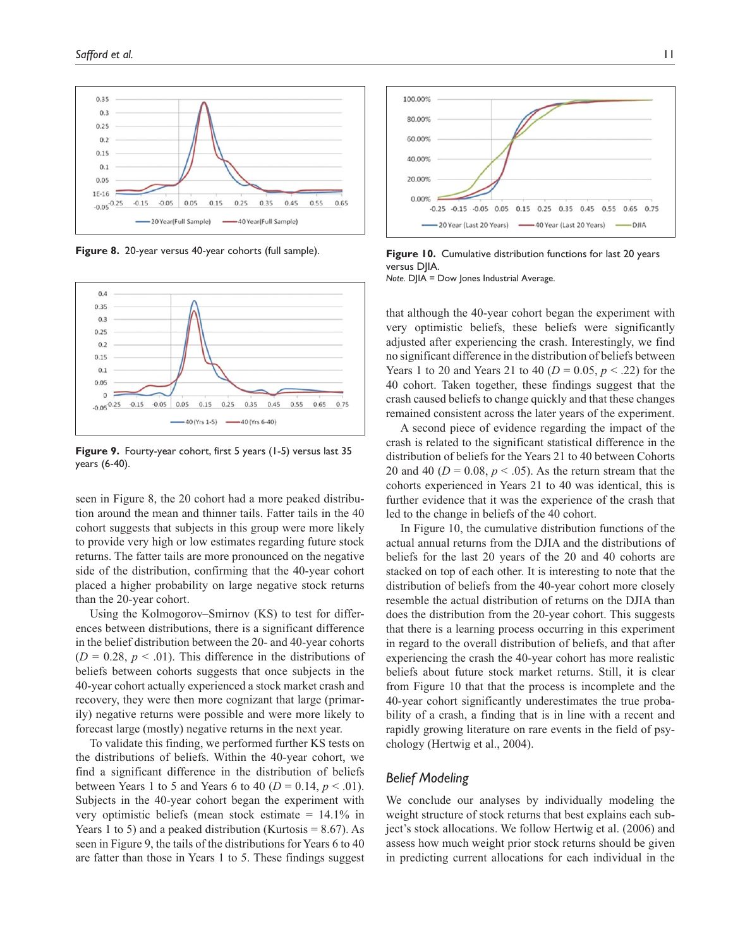

**Figure 8.** 20-year versus 40-year cohorts (full sample).



**Figure 9.** Fourty-year cohort, first 5 years (1-5) versus last 35 years (6-40).

seen in Figure 8, the 20 cohort had a more peaked distribution around the mean and thinner tails. Fatter tails in the 40 cohort suggests that subjects in this group were more likely to provide very high or low estimates regarding future stock returns. The fatter tails are more pronounced on the negative side of the distribution, confirming that the 40-year cohort placed a higher probability on large negative stock returns than the 20-year cohort.

Using the Kolmogorov–Smirnov (KS) to test for differences between distributions, there is a significant difference in the belief distribution between the 20- and 40-year cohorts  $(D = 0.28, p < .01)$ . This difference in the distributions of beliefs between cohorts suggests that once subjects in the 40-year cohort actually experienced a stock market crash and recovery, they were then more cognizant that large (primarily) negative returns were possible and were more likely to forecast large (mostly) negative returns in the next year.

To validate this finding, we performed further KS tests on the distributions of beliefs. Within the 40-year cohort, we find a significant difference in the distribution of beliefs between Years 1 to 5 and Years 6 to 40 ( $D = 0.14$ ,  $p < .01$ ). Subjects in the 40-year cohort began the experiment with very optimistic beliefs (mean stock estimate = 14.1% in Years 1 to 5) and a peaked distribution (Kurtosis  $= 8.67$ ). As seen in Figure 9, the tails of the distributions for Years 6 to 40 are fatter than those in Years 1 to 5. These findings suggest



**Figure 10.** Cumulative distribution functions for last 20 years versus DJIA.

*Note.* DJIA = Dow Jones Industrial Average.

that although the 40-year cohort began the experiment with very optimistic beliefs, these beliefs were significantly adjusted after experiencing the crash. Interestingly, we find no significant difference in the distribution of beliefs between Years 1 to 20 and Years 21 to 40 (*D* = 0.05, *p* < .22) for the 40 cohort. Taken together, these findings suggest that the crash caused beliefs to change quickly and that these changes remained consistent across the later years of the experiment.

A second piece of evidence regarding the impact of the crash is related to the significant statistical difference in the distribution of beliefs for the Years 21 to 40 between Cohorts 20 and 40 ( $D = 0.08$ ,  $p < .05$ ). As the return stream that the cohorts experienced in Years 21 to 40 was identical, this is further evidence that it was the experience of the crash that led to the change in beliefs of the 40 cohort.

In Figure 10, the cumulative distribution functions of the actual annual returns from the DJIA and the distributions of beliefs for the last 20 years of the 20 and 40 cohorts are stacked on top of each other. It is interesting to note that the distribution of beliefs from the 40-year cohort more closely resemble the actual distribution of returns on the DJIA than does the distribution from the 20-year cohort. This suggests that there is a learning process occurring in this experiment in regard to the overall distribution of beliefs, and that after experiencing the crash the 40-year cohort has more realistic beliefs about future stock market returns. Still, it is clear from Figure 10 that that the process is incomplete and the 40-year cohort significantly underestimates the true probability of a crash, a finding that is in line with a recent and rapidly growing literature on rare events in the field of psychology (Hertwig et al., 2004).

### *Belief Modeling*

We conclude our analyses by individually modeling the weight structure of stock returns that best explains each subject's stock allocations. We follow Hertwig et al. (2006) and assess how much weight prior stock returns should be given in predicting current allocations for each individual in the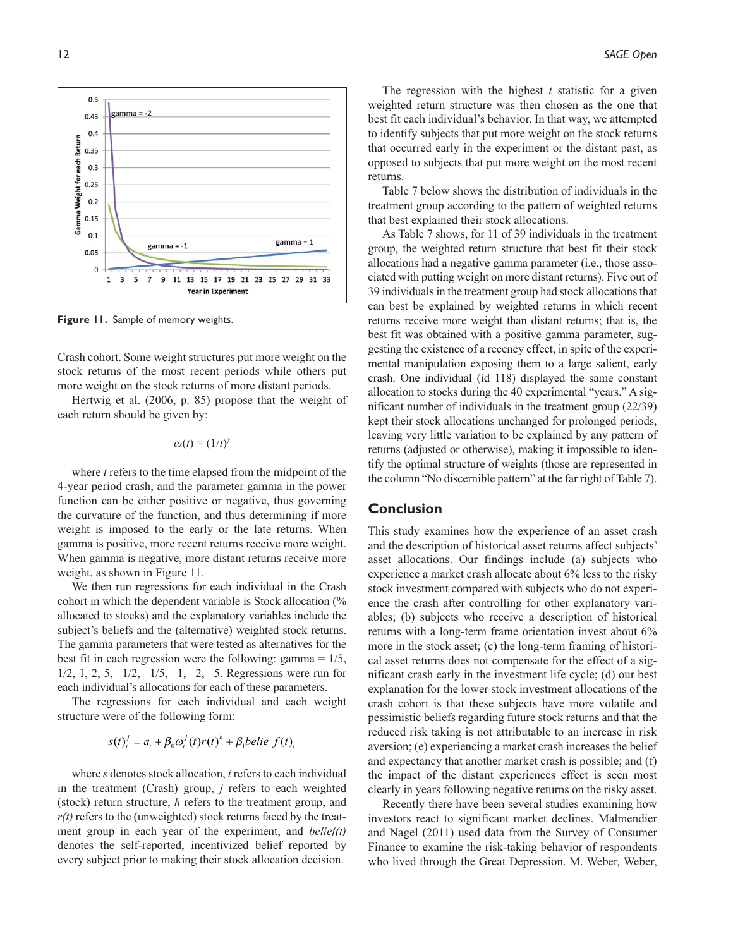

**Figure 11.** Sample of memory weights.

Crash cohort. Some weight structures put more weight on the stock returns of the most recent periods while others put more weight on the stock returns of more distant periods.

Hertwig et al. (2006, p. 85) propose that the weight of each return should be given by:

$$
\omega(t) = (1/t)^{\gamma}
$$

where *t* refers to the time elapsed from the midpoint of the 4-year period crash, and the parameter gamma in the power function can be either positive or negative, thus governing the curvature of the function, and thus determining if more weight is imposed to the early or the late returns. When gamma is positive, more recent returns receive more weight. When gamma is negative, more distant returns receive more weight, as shown in Figure 11.

We then run regressions for each individual in the Crash cohort in which the dependent variable is Stock allocation (% allocated to stocks) and the explanatory variables include the subject's beliefs and the (alternative) weighted stock returns. The gamma parameters that were tested as alternatives for the best fit in each regression were the following: gamma  $= 1/5$ ,  $1/2$ ,  $1$ ,  $2$ ,  $5$ ,  $-1/2$ ,  $-1/5$ ,  $-1$ ,  $-2$ ,  $-5$ . Regressions were run for each individual's allocations for each of these parameters.

The regressions for each individual and each weight structure were of the following form:

$$
s(t)ij = ai + \beta0 \omegaij (t) r(t)h + \beta1 belie f(t)i
$$

where *s* denotes stock allocation, *i* refers to each individual in the treatment (Crash) group, *j* refers to each weighted (stock) return structure, *h* refers to the treatment group, and *r(t)* refers to the (unweighted) stock returns faced by the treatment group in each year of the experiment, and *belief(t)* denotes the self-reported, incentivized belief reported by every subject prior to making their stock allocation decision.

The regression with the highest *t* statistic for a given weighted return structure was then chosen as the one that best fit each individual's behavior. In that way, we attempted to identify subjects that put more weight on the stock returns that occurred early in the experiment or the distant past, as opposed to subjects that put more weight on the most recent returns.

Table 7 below shows the distribution of individuals in the treatment group according to the pattern of weighted returns that best explained their stock allocations.

As Table 7 shows, for 11 of 39 individuals in the treatment group, the weighted return structure that best fit their stock allocations had a negative gamma parameter (i.e., those associated with putting weight on more distant returns). Five out of 39 individuals in the treatment group had stock allocations that can best be explained by weighted returns in which recent returns receive more weight than distant returns; that is, the best fit was obtained with a positive gamma parameter, suggesting the existence of a recency effect, in spite of the experimental manipulation exposing them to a large salient, early crash. One individual (id 118) displayed the same constant allocation to stocks during the 40 experimental "years." A significant number of individuals in the treatment group (22/39) kept their stock allocations unchanged for prolonged periods, leaving very little variation to be explained by any pattern of returns (adjusted or otherwise), making it impossible to identify the optimal structure of weights (those are represented in the column "No discernible pattern" at the far right of Table 7).

# **Conclusion**

This study examines how the experience of an asset crash and the description of historical asset returns affect subjects' asset allocations. Our findings include (a) subjects who experience a market crash allocate about 6% less to the risky stock investment compared with subjects who do not experience the crash after controlling for other explanatory variables; (b) subjects who receive a description of historical returns with a long-term frame orientation invest about 6% more in the stock asset; (c) the long-term framing of historical asset returns does not compensate for the effect of a significant crash early in the investment life cycle; (d) our best explanation for the lower stock investment allocations of the crash cohort is that these subjects have more volatile and pessimistic beliefs regarding future stock returns and that the reduced risk taking is not attributable to an increase in risk aversion; (e) experiencing a market crash increases the belief and expectancy that another market crash is possible; and (f) the impact of the distant experiences effect is seen most clearly in years following negative returns on the risky asset.

Recently there have been several studies examining how investors react to significant market declines. Malmendier and Nagel (2011) used data from the Survey of Consumer Finance to examine the risk-taking behavior of respondents who lived through the Great Depression. M. Weber, Weber,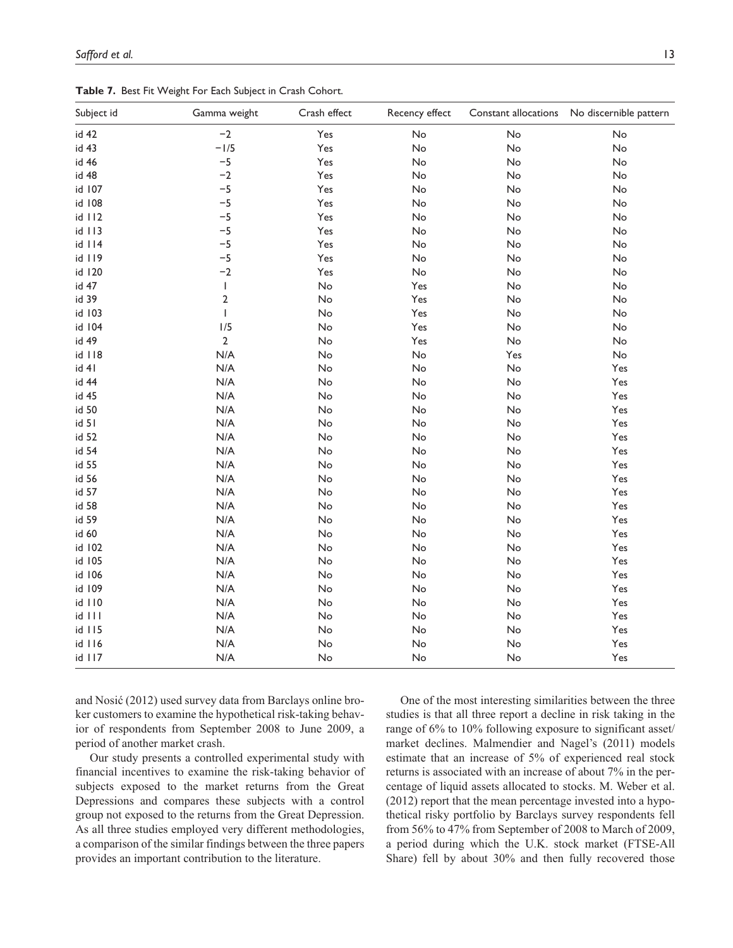**Table 7.** Best Fit Weight For Each Subject in Crash Cohort.

| Subject id | Gamma weight | Crash effect  | Recency effect | Constant allocations | No discernible pattern |
|------------|--------------|---------------|----------------|----------------------|------------------------|
| id 42      | $-2$         | Yes           | No             | $\mathsf{No}$        | No                     |
| id 43      | $-1/5$       | Yes           | No             | No                   | No                     |
| id 46      | $-5$         | Yes           | No             | No                   | No                     |
| id 48      | $-2$         | Yes           | No             | No                   | No                     |
| id 107     | $-5$         | Yes           | No             | No                   | No                     |
| id 108     | $-5$         | Yes           | No             | No                   | No                     |
| id 112     | $-5$         | Yes           | No             | No                   | No                     |
| id 113     | $-5$         | Yes           | No             | No                   | No                     |
| id 114     | $-5$         | Yes           | No             | No                   | No                     |
| id 119     | $-5$         | Yes           | No             | No                   | No                     |
| id 120     | $-2$         | Yes           | No             | No                   | No                     |
| id 47      | $\mathsf{I}$ | No            | Yes            | No                   | No                     |
| id 39      | $\mathbf 2$  | No            | Yes            | No                   | No                     |
| id 103     | $\mathbf{I}$ | No            | Yes            | No                   | No                     |
| id 104     | 1/5          | No            | Yes            | No                   | No                     |
| id 49      | 2            | No            | Yes            | No                   | No                     |
| id 118     | N/A          | No            | No             | Yes                  | No                     |
| id 41      | N/A          | No            | No             | No                   | Yes                    |
| id 44      | N/A          | No            | No             | No                   | Yes                    |
| id 45      | N/A          | No            | No             | No                   | Yes                    |
| id 50      | N/A          | No            | No             | No                   | Yes                    |
| $id$ 5 l   | N/A          | No            | No             | No                   | Yes                    |
| id 52      | N/A          | No            | No             | No                   | Yes                    |
| id 54      | N/A          | No            | No             | No                   | Yes                    |
| id 55      | N/A          | No            | No             | No                   | Yes                    |
| id 56      | N/A          | No            | No             | No                   | Yes                    |
| id 57      | N/A          | No            | No             | No                   | Yes                    |
| id 58      | N/A          | No            | No             | No                   | Yes                    |
| id 59      | N/A          | No            | No             | No                   | Yes                    |
| id 60      | N/A          | No            | No             | No                   | Yes                    |
| id 102     | N/A          | No            | No             | No                   | Yes                    |
| id 105     | N/A          | No            | No             | No                   | Yes                    |
| id 106     | N/A          | No            | No             | No                   | Yes                    |
| id 109     | N/A          | No            | No             | No                   | Yes                    |
| id 110     | N/A          | No            | No             | No                   | Yes                    |
| id         | N/A          | No            | No             | No                   | Yes                    |
| id 115     | N/A          | No            | No             | No                   | Yes                    |
| id 116     | N/A          | No            | No             | No                   | Yes                    |
| id 117     | N/A          | $\mathsf{No}$ | No             | No                   | Yes                    |

and Nosić (2012) used survey data from Barclays online broker customers to examine the hypothetical risk-taking behavior of respondents from September 2008 to June 2009, a period of another market crash.

Our study presents a controlled experimental study with financial incentives to examine the risk-taking behavior of subjects exposed to the market returns from the Great Depressions and compares these subjects with a control group not exposed to the returns from the Great Depression. As all three studies employed very different methodologies, a comparison of the similar findings between the three papers provides an important contribution to the literature.

One of the most interesting similarities between the three studies is that all three report a decline in risk taking in the range of 6% to 10% following exposure to significant asset/ market declines. Malmendier and Nagel's (2011) models estimate that an increase of 5% of experienced real stock returns is associated with an increase of about 7% in the percentage of liquid assets allocated to stocks. M. Weber et al. (2012) report that the mean percentage invested into a hypothetical risky portfolio by Barclays survey respondents fell from 56% to 47% from September of 2008 to March of 2009, a period during which the U.K. stock market (FTSE-All Share) fell by about 30% and then fully recovered those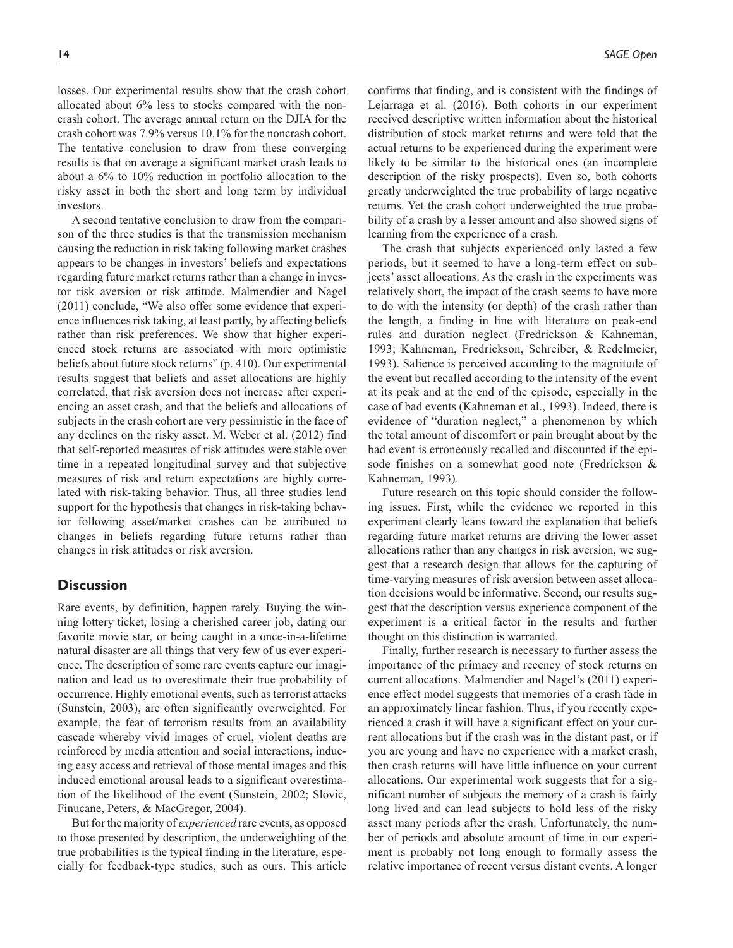14 *SAGE Open*

losses. Our experimental results show that the crash cohort allocated about 6% less to stocks compared with the noncrash cohort. The average annual return on the DJIA for the crash cohort was 7.9% versus 10.1% for the noncrash cohort. The tentative conclusion to draw from these converging results is that on average a significant market crash leads to about a 6% to 10% reduction in portfolio allocation to the risky asset in both the short and long term by individual investors.

A second tentative conclusion to draw from the comparison of the three studies is that the transmission mechanism causing the reduction in risk taking following market crashes appears to be changes in investors' beliefs and expectations regarding future market returns rather than a change in investor risk aversion or risk attitude. Malmendier and Nagel (2011) conclude, "We also offer some evidence that experience influences risk taking, at least partly, by affecting beliefs rather than risk preferences. We show that higher experienced stock returns are associated with more optimistic beliefs about future stock returns" (p. 410). Our experimental results suggest that beliefs and asset allocations are highly correlated, that risk aversion does not increase after experiencing an asset crash, and that the beliefs and allocations of subjects in the crash cohort are very pessimistic in the face of any declines on the risky asset. M. Weber et al. (2012) find that self-reported measures of risk attitudes were stable over time in a repeated longitudinal survey and that subjective measures of risk and return expectations are highly correlated with risk-taking behavior. Thus, all three studies lend support for the hypothesis that changes in risk-taking behavior following asset/market crashes can be attributed to changes in beliefs regarding future returns rather than changes in risk attitudes or risk aversion.

# **Discussion**

Rare events, by definition, happen rarely. Buying the winning lottery ticket, losing a cherished career job, dating our favorite movie star, or being caught in a once-in-a-lifetime natural disaster are all things that very few of us ever experience. The description of some rare events capture our imagination and lead us to overestimate their true probability of occurrence. Highly emotional events, such as terrorist attacks (Sunstein, 2003), are often significantly overweighted. For example, the fear of terrorism results from an availability cascade whereby vivid images of cruel, violent deaths are reinforced by media attention and social interactions, inducing easy access and retrieval of those mental images and this induced emotional arousal leads to a significant overestimation of the likelihood of the event (Sunstein, 2002; Slovic, Finucane, Peters, & MacGregor, 2004).

But for the majority of *experienced* rare events, as opposed to those presented by description, the underweighting of the true probabilities is the typical finding in the literature, especially for feedback-type studies, such as ours. This article

confirms that finding, and is consistent with the findings of Lejarraga et al. (2016). Both cohorts in our experiment received descriptive written information about the historical distribution of stock market returns and were told that the actual returns to be experienced during the experiment were likely to be similar to the historical ones (an incomplete description of the risky prospects). Even so, both cohorts greatly underweighted the true probability of large negative returns. Yet the crash cohort underweighted the true probability of a crash by a lesser amount and also showed signs of learning from the experience of a crash.

The crash that subjects experienced only lasted a few periods, but it seemed to have a long-term effect on subjects' asset allocations. As the crash in the experiments was relatively short, the impact of the crash seems to have more to do with the intensity (or depth) of the crash rather than the length, a finding in line with literature on peak-end rules and duration neglect (Fredrickson & Kahneman, 1993; Kahneman, Fredrickson, Schreiber, & Redelmeier, 1993). Salience is perceived according to the magnitude of the event but recalled according to the intensity of the event at its peak and at the end of the episode, especially in the case of bad events (Kahneman et al., 1993). Indeed, there is evidence of "duration neglect," a phenomenon by which the total amount of discomfort or pain brought about by the bad event is erroneously recalled and discounted if the episode finishes on a somewhat good note (Fredrickson & Kahneman, 1993).

Future research on this topic should consider the following issues. First, while the evidence we reported in this experiment clearly leans toward the explanation that beliefs regarding future market returns are driving the lower asset allocations rather than any changes in risk aversion, we suggest that a research design that allows for the capturing of time-varying measures of risk aversion between asset allocation decisions would be informative. Second, our results suggest that the description versus experience component of the experiment is a critical factor in the results and further thought on this distinction is warranted.

Finally, further research is necessary to further assess the importance of the primacy and recency of stock returns on current allocations. Malmendier and Nagel's (2011) experience effect model suggests that memories of a crash fade in an approximately linear fashion. Thus, if you recently experienced a crash it will have a significant effect on your current allocations but if the crash was in the distant past, or if you are young and have no experience with a market crash, then crash returns will have little influence on your current allocations. Our experimental work suggests that for a significant number of subjects the memory of a crash is fairly long lived and can lead subjects to hold less of the risky asset many periods after the crash. Unfortunately, the number of periods and absolute amount of time in our experiment is probably not long enough to formally assess the relative importance of recent versus distant events. A longer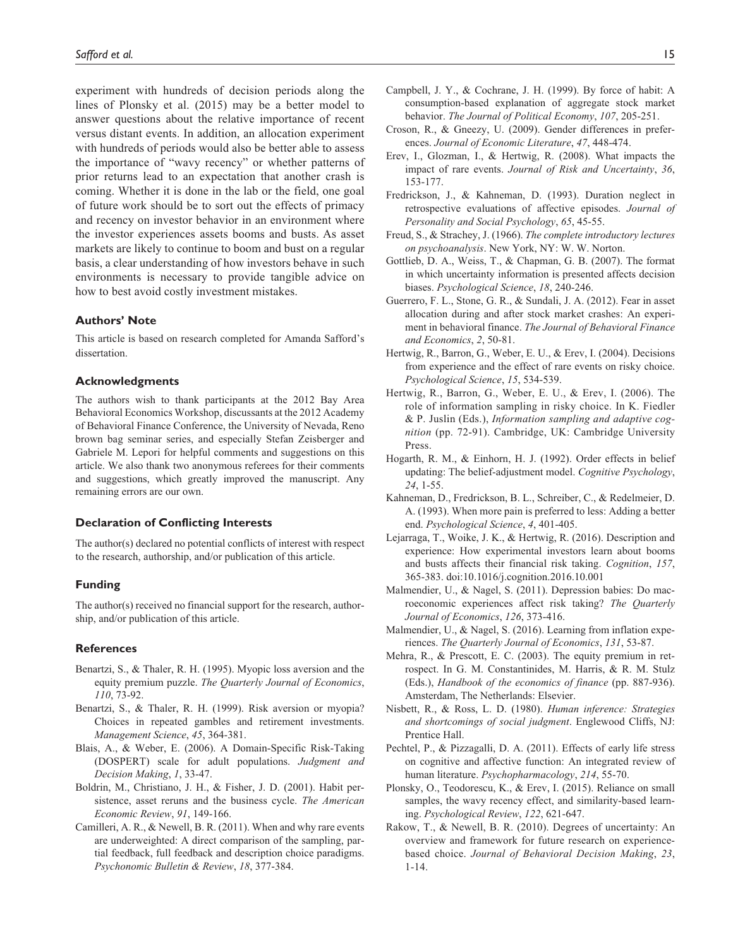experiment with hundreds of decision periods along the lines of Plonsky et al. (2015) may be a better model to answer questions about the relative importance of recent versus distant events. In addition, an allocation experiment with hundreds of periods would also be better able to assess the importance of "wavy recency" or whether patterns of prior returns lead to an expectation that another crash is coming. Whether it is done in the lab or the field, one goal of future work should be to sort out the effects of primacy and recency on investor behavior in an environment where the investor experiences assets booms and busts. As asset markets are likely to continue to boom and bust on a regular basis, a clear understanding of how investors behave in such environments is necessary to provide tangible advice on how to best avoid costly investment mistakes.

#### **Authors' Note**

This article is based on research completed for Amanda Safford's dissertation.

#### **Acknowledgments**

The authors wish to thank participants at the 2012 Bay Area Behavioral Economics Workshop, discussants at the 2012 Academy of Behavioral Finance Conference, the University of Nevada, Reno brown bag seminar series, and especially Stefan Zeisberger and Gabriele M. Lepori for helpful comments and suggestions on this article. We also thank two anonymous referees for their comments and suggestions, which greatly improved the manuscript. Any remaining errors are our own.

#### **Declaration of Conflicting Interests**

The author(s) declared no potential conflicts of interest with respect to the research, authorship, and/or publication of this article.

### **Funding**

The author(s) received no financial support for the research, authorship, and/or publication of this article.

### **References**

- Benartzi, S., & Thaler, R. H. (1995). Myopic loss aversion and the equity premium puzzle. *The Quarterly Journal of Economics*, *110*, 73-92.
- Benartzi, S., & Thaler, R. H. (1999). Risk aversion or myopia? Choices in repeated gambles and retirement investments. *Management Science*, *45*, 364-381.
- Blais, A., & Weber, E. (2006). A Domain-Specific Risk-Taking (DOSPERT) scale for adult populations. *Judgment and Decision Making*, *1*, 33-47.
- Boldrin, M., Christiano, J. H., & Fisher, J. D. (2001). Habit persistence, asset reruns and the business cycle. *The American Economic Review*, *91*, 149-166.
- Camilleri, A. R., & Newell, B. R. (2011). When and why rare events are underweighted: A direct comparison of the sampling, partial feedback, full feedback and description choice paradigms. *Psychonomic Bulletin & Review*, *18*, 377-384.
- Campbell, J. Y., & Cochrane, J. H. (1999). By force of habit: A consumption-based explanation of aggregate stock market behavior. *The Journal of Political Economy*, *107*, 205-251.
- Croson, R., & Gneezy, U. (2009). Gender differences in preferences. *Journal of Economic Literature*, *47*, 448-474.
- Erev, I., Glozman, I., & Hertwig, R. (2008). What impacts the impact of rare events. *Journal of Risk and Uncertainty*, *36*, 153-177.
- Fredrickson, J., & Kahneman, D. (1993). Duration neglect in retrospective evaluations of affective episodes. *Journal of Personality and Social Psychology*, *65*, 45-55.
- Freud, S., & Strachey, J. (1966). *The complete introductory lectures on psychoanalysis*. New York, NY: W. W. Norton.
- Gottlieb, D. A., Weiss, T., & Chapman, G. B. (2007). The format in which uncertainty information is presented affects decision biases. *Psychological Science*, *18*, 240-246.
- Guerrero, F. L., Stone, G. R., & Sundali, J. A. (2012). Fear in asset allocation during and after stock market crashes: An experiment in behavioral finance. *The Journal of Behavioral Finance and Economics*, *2*, 50-81.
- Hertwig, R., Barron, G., Weber, E. U., & Erev, I. (2004). Decisions from experience and the effect of rare events on risky choice. *Psychological Science*, *15*, 534-539.
- Hertwig, R., Barron, G., Weber, E. U., & Erev, I. (2006). The role of information sampling in risky choice. In K. Fiedler & P. Juslin (Eds.), *Information sampling and adaptive cognition* (pp. 72-91). Cambridge, UK: Cambridge University Press.
- Hogarth, R. M., & Einhorn, H. J. (1992). Order effects in belief updating: The belief-adjustment model. *Cognitive Psychology*, *24*, 1-55.
- Kahneman, D., Fredrickson, B. L., Schreiber, C., & Redelmeier, D. A. (1993). When more pain is preferred to less: Adding a better end. *Psychological Science*, *4*, 401-405.
- Lejarraga, T., Woike, J. K., & Hertwig, R. (2016). Description and experience: How experimental investors learn about booms and busts affects their financial risk taking. *Cognition*, *157*, 365-383. doi:10.1016/j.cognition.2016.10.001
- Malmendier, U., & Nagel, S. (2011). Depression babies: Do macroeconomic experiences affect risk taking? *The Quarterly Journal of Economics*, *126*, 373-416.
- Malmendier, U., & Nagel, S. (2016). Learning from inflation experiences. *The Quarterly Journal of Economics*, *131*, 53-87.
- Mehra, R., & Prescott, E. C. (2003). The equity premium in retrospect. In G. M. Constantinides, M. Harris, & R. M. Stulz (Eds.), *Handbook of the economics of finance* (pp. 887-936). Amsterdam, The Netherlands: Elsevier.
- Nisbett, R., & Ross, L. D. (1980). *Human inference: Strategies and shortcomings of social judgment*. Englewood Cliffs, NJ: Prentice Hall.
- Pechtel, P., & Pizzagalli, D. A. (2011). Effects of early life stress on cognitive and affective function: An integrated review of human literature. *Psychopharmacology*, *214*, 55-70.
- Plonsky, O., Teodorescu, K., & Erev, I. (2015). Reliance on small samples, the wavy recency effect, and similarity-based learning. *Psychological Review*, *122*, 621-647.
- Rakow, T., & Newell, B. R. (2010). Degrees of uncertainty: An overview and framework for future research on experiencebased choice. *Journal of Behavioral Decision Making*, *23*, 1-14.